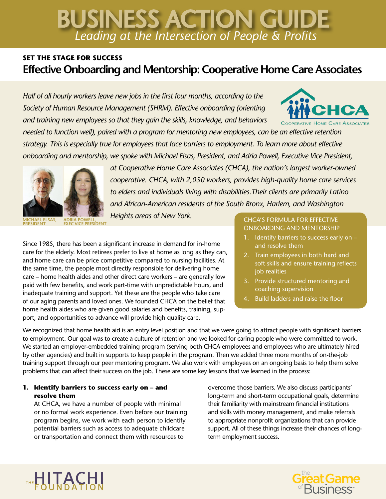# *Leading at the Intersection of People & Profits* BUSINESS ACTION GUIDE

## **SET THE STAGE FOR SUCCESS Effective Onboarding and Mentorship: Cooperative Home Care Associates**

*Half of all hourly workers leave new jobs in the first four months, according to the Society of Human Resource Management (SHRM). Effective onboarding (orienting and training new employees so that they gain the skills, knowledge, and behaviors* 



*needed to function well), paired with a program for mentoring new employees, can be an effective retention strategy. This is especially true for employees that face barriers to employment. To learn more about effective onboarding and mentorship, we spoke with Michael Elsas, President, and Adria Powell, Executive Vice President,* 



*at Cooperative Home Care Associates (CHCA), the nation's largest worker-owned cooperative. CHCA, with 2,050 workers, provides high-quality home care services to elders and individuals living with disabilities.Their clients are primarily Latino and African-American residents of the South Bronx, Harlem, and Washington* 

*Heights areas of New York.*

Since 1985, there has been a significant increase in demand for in-home care for the elderly. Most retirees prefer to live at home as long as they can, and home care can be price competitive compared to nursing facilities. At the same time, the people most directly responsible for delivering home care – home health aides and other direct care workers – are generally low paid with few benefits, and work part-time with unpredictable hours, and inadequate training and support. Yet these are the people who take care of our aging parents and loved ones. We founded CHCA on the belief that home health aides who are given good salaries and benefits, training, support, and opportunities to advance will provide high quality care.

#### **CHCA'S FORMULA FOR EFFECTIVE** ONBOARDING AND MENTORSHIP

- 1. Identify barriers to success early on and resolve them
- 2. Train employees in both hard and soft skills and ensure training reflects job realities
- 3. Provide structured mentoring and coaching supervision
- 4. Build ladders and raise the floor

We recognized that home health aid is an entry level position and that we were going to attract people with significant barriers to employment. Our goal was to create a culture of retention and we looked for caring people who were committed to work. We started an employer-embedded training program (serving both CHCA employees and employees who are ultimately hired by other agencies) and built in supports to keep people in the program. Then we added three more months of on-the-job training support through our peer mentoring program. We also work with employees on an ongoing basis to help them solve problems that can affect their success on the job. These are some key lessons that we learned in the process:

### **1. Identify barriers to success early on – and resolve them**

At CHCA, we have a number of people with minimal or no formal work experience. Even before our training program begins, we work with each person to identify potential barriers such as access to adequate childcare or transportation and connect them with resources to

overcome those barriers. We also discuss participants' long-term and short-term occupational goals, determine their familiarity with mainstream financial institutions and skills with money management, and make referrals to appropriate nonprofit organizations that can provide support. All of these things increase their chances of longterm employment success.



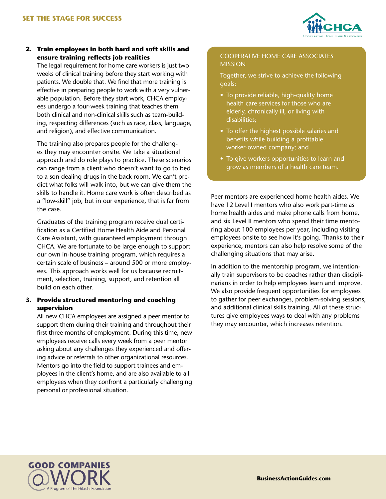

#### **2. Train employees in both hard and soft skills and ensure training reflects job realities**

The legal requirement for home care workers is just two weeks of clinical training before they start working with patients. We double that. We find that more training is effective in preparing people to work with a very vulnerable population. Before they start work, CHCA employees undergo a four-week training that teaches them both clinical and non-clinical skills such as team-building, respecting differences (such as race, class, language, and religion), and effective communication.

The training also prepares people for the challenges they may encounter onsite. We take a situational approach and do role plays to practice. These scenarios can range from a client who doesn't want to go to bed to a son dealing drugs in the back room. We can't predict what folks will walk into, but we can give them the skills to handle it. Home care work is often described as a "low-skill" job, but in our experience, that is far from the case.

Graduates of the training program receive dual certification as a Certified Home Health Aide and Personal Care Assistant, with guaranteed employment through CHCA. We are fortunate to be large enough to support our own in-house training program, which requires a certain scale of business – around 500 or more employees. This approach works well for us because recruitment, selection, training, support, and retention all build on each other.

#### **3. Provide structured mentoring and coaching supervision**

All new CHCA employees are assigned a peer mentor to support them during their training and throughout their first three months of employment. During this time, new employees receive calls every week from a peer mentor asking about any challenges they experienced and offering advice or referrals to other organizational resources. Mentors go into the field to support trainees and employees in the client's home, and are also available to all employees when they confront a particularly challenging personal or professional situation.

#### COOPERATIVE HOME CARE ASSOCIATES MISSION

Together, we strive to achieve the following goals:

- To provide reliable, high-quality home health care services for those who are elderly, chronically ill, or living with disabilities;
- To offer the highest possible salaries and benefits while building a profitable worker-owned company; and
- To give workers opportunities to learn and grow as members of a health care team.

Peer mentors are experienced home health aides. We have 12 Level I mentors who also work part-time as home health aides and make phone calls from home, and six Level II mentors who spend their time mentoring about 100 employees per year, including visiting employees onsite to see how it's going. Thanks to their experience, mentors can also help resolve some of the challenging situations that may arise.

In addition to the mentorship program, we intentionally train supervisors to be coaches rather than disciplinarians in order to help employees learn and improve. We also provide frequent opportunities for employees to gather for peer exchanges, problem-solving sessions, and additional clinical skills training. All of these structures give employees ways to deal with any problems they may encounter, which increases retention.